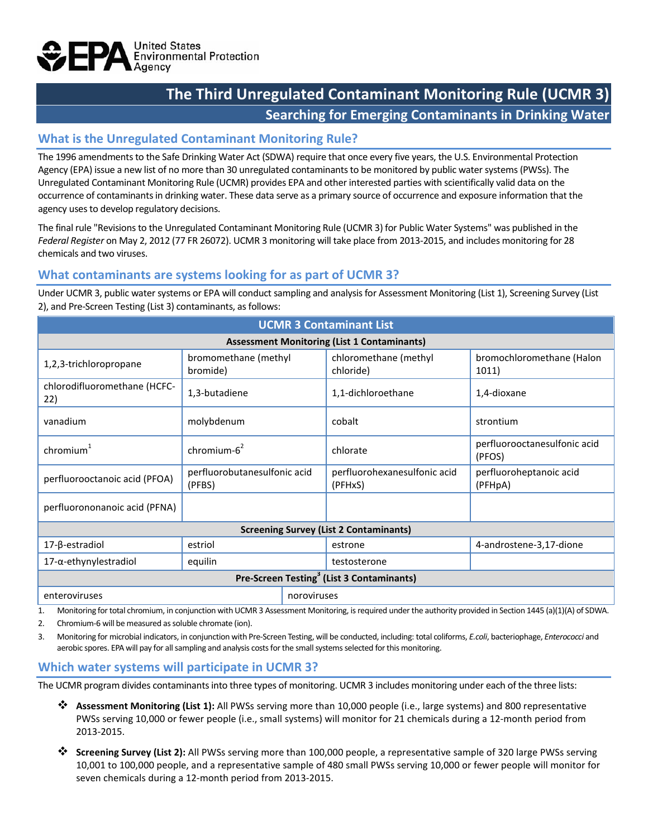

# **The Third Unregulated Contaminant Monitoring Rule (UCMR 3) Searching for Emerging Contaminants in Drinking Water**

## **What is the Unregulated Contaminant Monitoring Rule?**

The 1996 amendments to the Safe Drinking Water Act (SDWA) require that once every five years, the U.S. Environmental Protection Agency (EPA) issue a new list of no more than 30 unregulated contaminants to be monitored by public water systems (PWSs). The Unregulated Contaminant Monitoring Rule (UCMR) provides EPA and other interested parties with scientifically valid data on the occurrence of contaminants in drinking water. These data serve as a primary source of occurrence and exposure information that the agency uses to develop regulatory decisions.

The final rule "Revisions to the Unregulated Contaminant Monitoring Rule (UCMR 3) for Public Water Systems" was published in the *Federal Register* on May 2, 2012 (77 FR 26072). UCMR 3 monitoring will take place from 2013-2015, and includes monitoring for 28 chemicals and two viruses.

## **What contaminants are systems looking for as part of UCMR 3?**

Under UCMR 3, public water systems or EPA will conduct sampling and analysis for Assessment Monitoring (List 1), Screening Survey (List 2), and Pre-Screen Testing (List 3) contaminants, as follows:

| <b>UCMR 3 Contaminant List</b>                        |                                        |             |                                         |                                        |
|-------------------------------------------------------|----------------------------------------|-------------|-----------------------------------------|----------------------------------------|
| <b>Assessment Monitoring (List 1 Contaminants)</b>    |                                        |             |                                         |                                        |
| 1,2,3-trichloropropane                                | bromomethane (methyl<br>bromide)       |             | chloromethane (methyl<br>chloride)      | bromochloromethane (Halon<br>1011)     |
| chlorodifluoromethane (HCFC-<br>22)                   | 1,3-butadiene                          |             | 1,1-dichloroethane                      | 1,4-dioxane                            |
| vanadium                                              | molybdenum                             |             | cobalt                                  | strontium                              |
| chromium $1$                                          | chromium- $62$                         |             | chlorate                                | perfluorooctanesulfonic acid<br>(PFOS) |
| perfluorooctanoic acid (PFOA)                         | perfluorobutanesulfonic acid<br>(PFBS) |             | perfluorohexanesulfonic acid<br>(PFHxS) | perfluoroheptanoic acid<br>(PFHpA)     |
| perfluorononanoic acid (PFNA)                         |                                        |             |                                         |                                        |
| <b>Screening Survey (List 2 Contaminants)</b>         |                                        |             |                                         |                                        |
| $17 - \beta$ -estradiol                               | estriol                                |             | estrone                                 | 4-androstene-3,17-dione                |
| 17-α-ethynylestradiol                                 | equilin                                |             | testosterone                            |                                        |
| Pre-Screen Testing <sup>3</sup> (List 3 Contaminants) |                                        |             |                                         |                                        |
| enteroviruses                                         |                                        | noroviruses |                                         |                                        |

1. Monitoring for total chromium, in conjunction with UCMR 3 Assessment Monitoring, is required under the authority provided in Section 1445 (a)(1)(A) of SDWA.

2. Chromium-6 will be measured as soluble chromate (ion).

3. Monitoring for microbial indicators, in conjunction with Pre-Screen Testing, will be conducted, including: total coliforms, *E.coli*, bacteriophage, *Enterococci* and aerobic spores. EPA will pay for all sampling and analysis costs for the small systems selected for this monitoring.

# **Which water systems will participate in UCMR 3?**

The UCMR program divides contaminants into three types of monitoring. UCMR 3 includes monitoring under each of the three lists:

- **Assessment Monitoring (List 1):** All PWSs serving more than 10,000 people (i.e., large systems) and 800 representative PWSs serving 10,000 or fewer people (i.e., small systems) will monitor for 21 chemicals during a 12-month period from 2013-2015.
- **Screening Survey (List 2):** All PWSs serving more than 100,000 people, a representative sample of 320 large PWSs serving 10,001 to 100,000 people, and a representative sample of 480 small PWSs serving 10,000 or fewer people will monitor for seven chemicals during a 12-month period from 2013-2015.